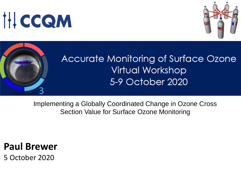# **IHCCQM**





# Accurate Monitoring of Surface Ozone **Virtual Workshop** 5-9 October 2020

Implementing a Globally Coordinated Change in Ozone Cross Section Value for Surface Ozone Monitoring

# **Paul Brewer**

5 October 2020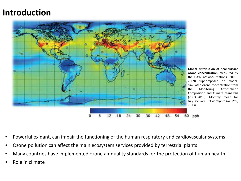### **Introduction**



**Global distribution of near-surface ozone concentration** measured by the GAW network stations (2000– 2009) superimposed on modelsimulated ozone concentration from the Monitoring Atmospheric Composition and Climate reanalysis (2003–2010). Monthly mean for July. (*Source*: *GAW Report No. 209*,

- Powerful oxidant, can impair the functioning of the human respiratory and cardiovascular systems
- Ozone pollution can affect the main ecosystem services provided by terrestrial plants
- Many countries have implemented ozone air quality standards for the protection of human health
- Role in climate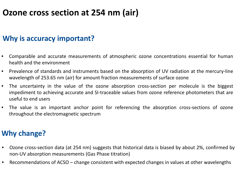# **Ozone cross section at 254 nm (air)**

### **Why is accuracy important?**

- Comparable and accurate measurements of atmospheric ozone concentrations essential for human health and the environment
- Prevalence of standards and instruments based on the absorption of UV radiation at the mercury-line wavelength of 253.65 nm (air) for amount fraction measurements of surface ozone
- The uncertainty in the value of the ozone absorption cross-section per molecule is the biggest impediment to achieving accurate and SI-traceable values from ozone reference photometers that are useful to end users
- The value is an important anchor point for referencing the absorption cross-sections of ozone throughout the electromagnetic spectrum

### **Why change?**

- Ozone cross-section data (at 254 nm) suggests that historical data is biased by about 2%, confirmed by non-UV absorption measurements (Gas Phase titration)
- Recommendations of ACSO change consistent with expected changes in values at other wavelengths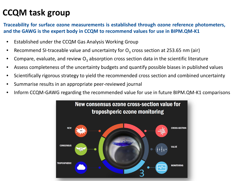# **CCQM task group**

**Traceability for surface ozone measurements is established through ozone reference photometers, and the GAWG is the expert body in CCQM to recommend values for use in BIPM.QM-K1**

- Established under the CCQM Gas Analysis Working Group
- Recommend SI-traceable value and uncertainty for  $O<sub>3</sub>$  cross section at 253.65 nm (air)
- Compare, evaluate, and review  $O_3$  absorption cross section data in the scientific literature
- Assess completeness of the uncertainty budgets and quantify possible biases in published values
- Scientifically rigorous strategy to yield the recommended cross section and combined uncertainty
- Summarise results in an appropriate peer-reviewed journal
- Inform CCQM-GAWG regarding the recommended value for use in future BIPM.QM-K1 comparisons

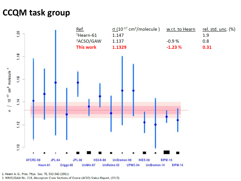# **CCQM task group**



1. Hearn A. G., Proc. Phys. Soc. 78, 932-940 (1961) 2. WMO/GAW No. 218, Absorption Cross Sections of Ozone (ACSO) Status Report, (2015)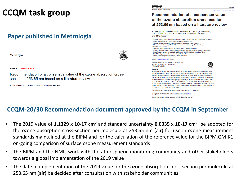# **CCQM task group**

### **Paper published in Metrologia**

Metrologia



**PAPER • OPEN ACCESS** 

Recommendation of a consensus value of the ozone absorption crosssection at 253.65 nm based on a literature review

To cite this article: J T Hodges et al 2019 Metrologia 56 034001



### Recommendation of a consensus value of the ozone absorption cross-section at 253,65 nm based on a literature review

#### J T Hodges<sup>1</sup>®, J Viallon<sup>2,10</sup>®, P J Brewer<sup>3</sup>©, B J Drouin<sup>4</sup>, V Gorshelev<sup>5</sup>, C Janssen<sup>6</sup><sup>o</sup>, S Lee<sup>7</sup><sup>o</sup>, A Possolo<sup>1</sup><sup>o</sup>, M A H Smith<sup>8</sup><sup>o</sup>, J Walden<sup>9</sup> and  $\overline{\mathbf{R}}$  | Wielgosz<sup>2</sup>

- <sup>1</sup> National Institute of Standards and Technology (NIST), Gaithersburg, MD, United States of America
- <sup>2</sup> Bureau International des Poids et Mesures (BIPM), Sèvres, France
- <sup>3</sup> National Physical Laboratory (NPL), Teddington, Middlesex, United Kingdom
- <sup>4</sup> Jet Propulsion Laboratory, NASA, California Institute of Technology, Pasadena, CA, United States of America
- 
- Institute of Environmental Physics, Bremen University, Bremen, Germany <sup>6</sup> LERMA-IPSL, Sorbonne Université, Observatoire de Paris, PSL Université, CNRS, Paris, France
- Korea Research Institute of Standards and Science (KRISS), Daejeon, Republic of Korea
- <sup>8</sup> NASA Langley Research Center, Hampton, VA, United States of America
- <sup>9</sup> Finnish Meteorological Institute (FMI), Helsinki, Finland

#### E-mail: jviallon@bipm.org (J Viallon)

Received 19 October 2018, revised 14 February 2019 Accepted for publication 1 March 2019 Published 4 April 2019



A detailed review and analysis of literature values for the absorption cross-section of ozone at room temperature at the mercury-line wavelength (253.65 nm, air) is reported. Data from fourteen independent sets of measurements spanning the years 1959-2016 were considered. The present analysis is based upon a revised assessment of all Type A and Type B uncertainty components for each previously reported cross-section. A consensus value for the absorption cross-section of  $1.1329(35) \times 10^{-17}$  cm<sup>2</sup> molecule<sup>-1</sup> is recommended based on statistical analysis of the weighted data. This new cross-section value is 1.23% lower and its uncertainty sixfold smaller than the uncertainty of the conventionally accepted reference value reported by Hearn (1961 Proc. Phys. Soc. 78 932-40).

Keywords: ozone, absorption cross-section, reference data, troposphere

S Supplementary material for this article is available online

(Some figures may appear in colour only in the online journal)

### **CCQM-20/30 Recommendation document approved by the CCQM in September**

- The 2019 value of **1.1329 x 10-17 cm2** and standard uncertainty **0.0035 x 10-17 cm2** be adopted for the ozone absorption cross-section per molecule at 253.65 nm (air) for use in ozone measurement standards maintained at the BIPM and for the calculation of the reference value for the BIPM.QM-K1 on-going comparison of surface ozone measurement standards
- The BIPM and the NMIs work with the atmospheric monitoring community and other stakeholders towards a global implementation of the 2019 value
- The date of implementation of the 2019 value for the ozone absorption cross-section per molecule at 253.65 nm (air) be decided after consultation with stakeholder communities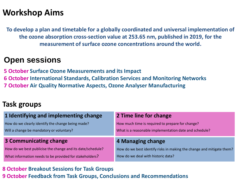## **Workshop Aims**

**To develop a plan and timetable for a globally coordinated and universal implementation of the ozone absorption cross-section value at 253.65 nm, published in 2019, for the measurement of surface ozone concentrations around the world.**

### **Open sessions**

**5 October Surface Ozone Measurements and its Impact 6 October International Standards, Calibration Services and Monitoring Networks 7 October Air Quality Normative Aspects, Ozone Analyser Manufacturing**

### **Task groups**

| 1 Identifying and implementing change                      | 2 Time line for change                                                |
|------------------------------------------------------------|-----------------------------------------------------------------------|
| How do we clearly identify the change being made?          | How much time is required to prepare for change?                      |
| Will a change be mandatory or voluntary?                   | What is a reasonable implementation date and schedule?                |
|                                                            |                                                                       |
| <b>3 Communicating change</b>                              | 4 Managing change                                                     |
| How do we best publicise the change and its date/schedule? | How do we best identify risks in making the change and mitigate them? |

### **8 October Breakout Sessions for Task Groups 9 October Feedback from Task Groups, Conclusions and Recommendations**